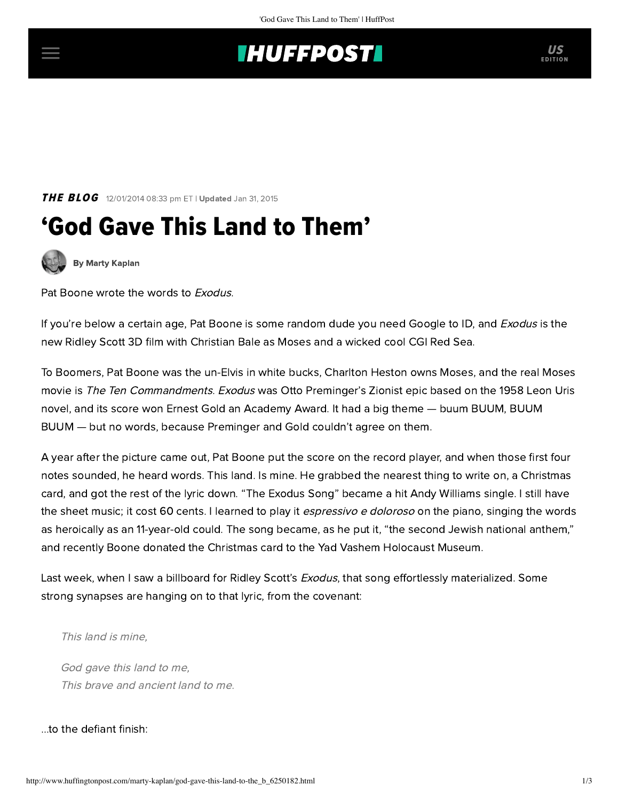## **IHUFFPOSTI**

**THE BLOG** 12/01/2014 08:33 pm ET | Updated Jan 31, 2015

## 'God Gave This Land to Them'



[By Marty Kaplan](http://www.huffingtonpost.com/author/marty-kaplan)

Pat Boone wrote the words to *Exodus*.

If you're below a certain age, Pat Boone is some random dude you need Google to ID, and *Exodus* is the new Ridley Scott 3D film with Christian Bale as Moses and a wicked cool CGI Red Sea.

To Boomers, Pat Boone was the un-Elvis in white bucks, Charlton Heston owns Moses, and the real Moses movie is The Ten Commandments. Exodus was Otto Preminger's Zionist epic based on the 1958 Leon Uris novel, and its score won Ernest Gold an Academy Award. It had a big theme — buum BUUM, BUUM BUUM — but no words, because Preminger and Gold [couldn't agree](http://www.cbn.com/cbnnews/insideisrael/2013/February/Pat-Boone-Gives-Exodus-Song-to-Holocaust-Memorial/) on them.

A year after the picture came out, Pat Boone put the score on the record player, and when those first four notes sounded, [he heard words](http://www.haaretz.com/news/features/pat-boone-remembers-exodus-song-partner-andy-williams.premium-1.471966). This land. Is mine. He grabbed the nearest thing to write on, a Christmas card, and got the rest of the lyric down. "The Exodus Song" became a hit Andy Williams single. I still have the sheet music; it cost 60 cents. I learned to play it *espressivo e doloroso* on the piano, singing the words as heroically as an 11-year-old could. The song became, as he put it, "the second Jewish national anthem," and recently Boone [donated](http://www.jta.org/2013/02/13/news-opinion/israel-middle-east/pat-boone-donates-exodus-song-lyrics-to-yad-vashem) the Christmas card to the Yad Vashem Holocaust Museum.

Last week, when I saw a billboard for Ridley Scott's *Exodus*, that song effortlessly materialized. Some strong synapses are hanging on to that lyric, from the covenant:

This land is mine,

God gave this land to me, This brave and ancient land to me.

...to the defiant finish: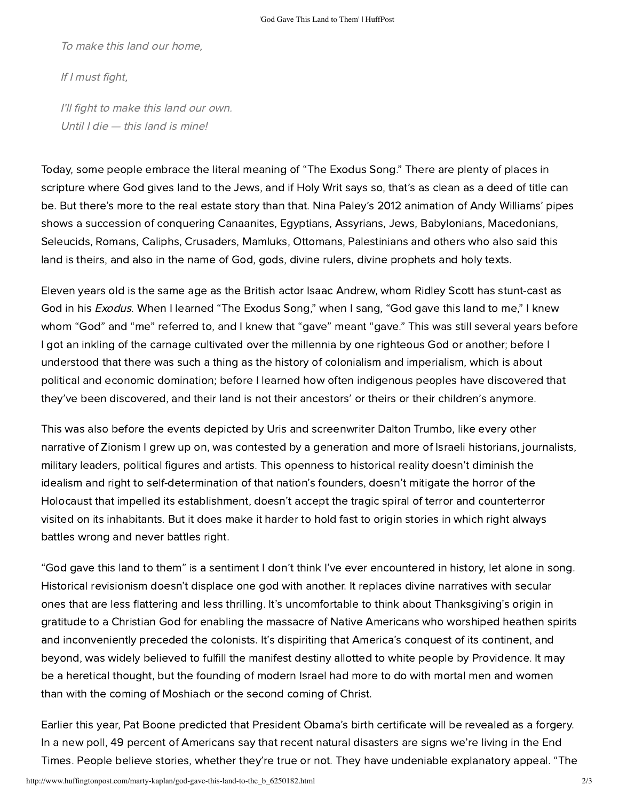To make this land our home,

If I must fight,

I'll fight to make this land our own. Until I die — this land is mine!

Today, some people embrace the literal meaning of "The Exodus Song." There are plenty of places in scripture where God gives land to the Jews, and if Holy Writ says so, that's as clean as a deed of title can be. But there's more to the real estate story than that. [Nina Paley's 2012 animation](http://blog.ninapaley.com/2012/10/01/this-land-is-mine/) of Andy Williams' pipes shows a succession of conquering Canaanites, Egyptians, Assyrians, Jews, Babylonians, Macedonians, Seleucids, Romans, Caliphs, Crusaders, Mamluks, Ottomans, Palestinians and others who also said this land is theirs, and also in the name of God, gods, divine rulers, divine prophets and holy texts.

[Eleven years old is the same age as the British actor Isaac Andrew, whom Ridley Scott has stunt-cast as](http://www.nytimes.com/2014/11/29/movies/exodus-gods-and-kings-portrays-the-deity-as-a-boy.html?_r=0) God in his *Exodus*. When I learned "The Exodus Song," when I sang, "God gave this land to me," I knew whom "God" and "me" referred to, and I knew that "gave" meant "gave." This was still several years before I got an inkling of the carnage cultivated over the millennia by one righteous God or another; before I understood that there was such a thing as the history of colonialism and imperialism, which is about political and economic domination; before I learned how often indigenous peoples have discovered that they've been discovered, and their land is not their ancestors' or theirs or their children's anymore.

This was also before the events depicted by Uris and screenwriter Dalton Trumbo, like every other narrative of Zionism I grew up on, was contested by a generation and more of Israeli historians, journalists, military leaders, political figures and artists. This openness to historical reality doesn't diminish the idealism and right to self-determination of that nation's founders, doesn't mitigate the horror of the Holocaust that impelled its establishment, doesn't accept the tragic spiral of terror and counterterror visited on its inhabitants. But it does make it harder to hold fast to origin stories in which right always battles wrong and never battles right.

"God gave this land to them" is a sentiment I don't think I've ever encountered in history, let alone in song. Historical revisionism doesn't displace one god with another. It replaces divine narratives with secular ones that are less flattering and less thrilling. It's uncomfortable to think about [Thanksgiving's origin](http://www.huffingtonpost.com/richard-greener/the-true-story-of-thanksg_b_788436.html) in gratitude to a Christian God for enabling the massacre of Native Americans who worshiped heathen spirits and inconveniently preceded the colonists. It's dispiriting that America's conquest of its continent, and beyond, was widely believed to fulfill the [manifest destiny](http://nationalhumanitiescenter.org/tserve/nineteen/nkeyinfo/mandestiny.htm) allotted to white people by Providence. It may be a heretical thought, but the founding of modern Israel had more to do with mortal men and women than with the coming of Moshiach or the second coming of Christ.

Earlier this year, Pat Boone [predicted](http://radio.foxnews.com/2014/06/23/pat-boones-bombshell-about-barack-obama/) that President Obama's birth certificate will be revealed as a forgery. In a new poll, 49 percent of Americans [say](http://www.thedailybeast.com/articles/2014/11/28/extreme-weather-blame-the-end-times.html) that recent natural disasters are signs we're living in the End Times. People believe stories, whether they're true or not. They have undeniable explanatory appeal. "The